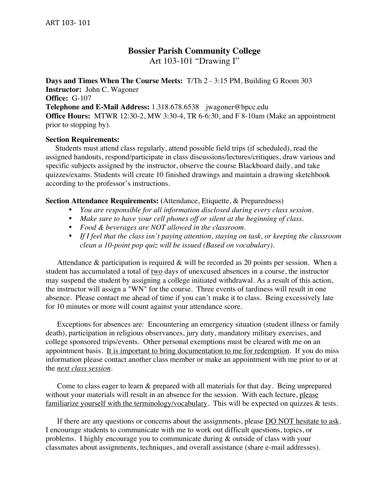# **Bossier Parish Community College**

Art 103-101 "Drawing I"

**Days and Times When The Course Meets:** T/Th 2 - 3:15 PM, Building G Room 303 **Instructor:** John C. Wagoner **Office:** G-107 **Telephone and E-Mail Address:** 1.318.678.6538 jwagoner@bpcc.edu **Office Hours:** MTWR 12:30-2, MW 3:30-4, TR 6-6:30, and F 8-10am (Make an appointment prior to stopping by).

#### **Section Requirements:**

 Students must attend class regularly, attend possible field trips (if scheduled), read the assigned handouts, respond/participate in class discussions/lectures/critiques, draw various and specific subjects assigned by the instructor, observe the course Blackboard daily, and take quizzes/exams. Students will create 10 finished drawings and maintain a drawing sketchbook according to the professor's instructions.

#### **Section Attendance Requirements: (**Attendance, Etiquette, & Preparedness)

- *You are responsible for all information disclosed during every class session.*
- *Make sure to have your cell phones off or silent at the beginning of class.*
- *Food & beverages are NOT allowed in the classroom.*
- *If I feel that the class isn't paying attention, staying on task, or keeping the classroom clean a 10-point pop quiz will be issued (Based on vocabulary).*

Attendance  $\&$  participation is required  $\&$  will be recorded as 20 points per session. When a student has accumulated a total of two days of unexcused absences in a course, the instructor may suspend the student by assigning a college initiated withdrawal. As a result of this action, the instructor will assign a "WN" for the course. Three events of tardiness will result in one absence. Please contact me ahead of time if you can't make it to class. Being excessively late for 10 minutes or more will count against your attendance score.

Exceptions for absences are: Encountering an emergency situation (student illness or family death), participation in religious observances, jury duty, mandatory military exercises, and college sponsored trips/events. Other personal exemptions must be cleared with me on an appointment basis. It is important to bring documentation to me for redemption. If you do miss information please contact another class member or make an appointment with me prior to or at the *next class session*.

 Come to class eager to learn & prepared with all materials for that day. Being unprepared without your materials will result in an absence for the session. With each lecture, please familiarize yourself with the terminology/vocabulary. This will be expected on quizzes & tests.

If there are any questions or concerns about the assignments, please DO NOT hesitate to ask. I encourage students to communicate with me to work out difficult questions, topics, or problems. I highly encourage you to communicate during & outside of class with your classmates about assignments, techniques, and overall assistance (share e-mail addresses).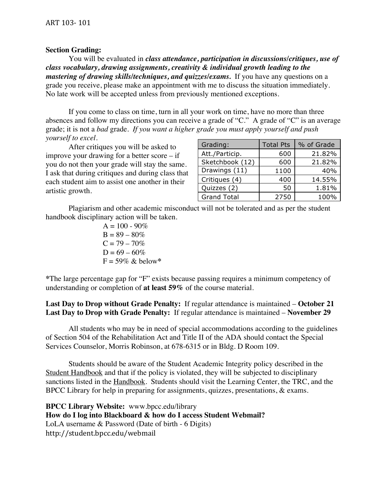#### **Section Grading:**

You will be evaluated in *class attendance, participation in discussions/critiques, use of class vocabulary, drawing assignments, creativity & individual growth leading to the mastering of drawing skills/techniques, and quizzes/exams.* If you have any questions on a grade you receive, please make an appointment with me to discuss the situation immediately. No late work will be accepted unless from previously mentioned exceptions.

If you come to class on time, turn in all your work on time, have no more than three absences and follow my directions you can receive a grade of "C." A grade of "C" is an average grade; it is not a *bad* grade. *If you want a higher grade you must apply yourself and push yourself to excel.*

After critiques you will be asked to improve your drawing for a better score – if you do not then your grade will stay the same. I ask that during critiques and during class that each student aim to assist one another in their artistic growth.

| Grading:           | <b>Total Pts</b> | % of Grade |
|--------------------|------------------|------------|
| Att./Particip.     | 600              | 21.82%     |
| Sketchbook (12)    | 600              | 21.82%     |
| Drawings (11)      | 1100             | 40%        |
| Critiques (4)      | 400              | 14.55%     |
| Quizzes (2)        | 50               | 1.81%      |
| <b>Grand Total</b> | 2750             | 100%       |

Plagiarism and other academic misconduct will not be tolerated and as per the student handbook disciplinary action will be taken.

> $A = 100 - 90\%$  $B = 89 - 80\%$  $C = 79 - 70\%$  $D = 69 - 60\%$  $F = 59\%$  & below\*

**\***The large percentage gap for "F" exists because passing requires a minimum competency of understanding or completion of **at least 59%** of the course material.

**Last Day to Drop without Grade Penalty:** If regular attendance is maintained – **October 21 Last Day to Drop with Grade Penalty:** If regular attendance is maintained – **November 29**

All students who may be in need of special accommodations according to the guidelines of Section 504 of the Rehabilitation Act and Title II of the ADA should contact the Special Services Counselor, Morris Robinson, at 678-6315 or in Bldg. D Room 109.

Students should be aware of the Student Academic Integrity policy described in the Student Handbook and that if the policy is violated, they will be subjected to disciplinary sanctions listed in the Handbook. Students should visit the Learning Center, the TRC, and the BPCC Library for help in preparing for assignments, quizzes, presentations, & exams.

**BPCC Library Website:** www.bpcc.edu/library **How do I log into Blackboard & how do I access Student Webmail?** LoLA username & Password (Date of birth - 6 Digits) http://student.bpcc.edu/webmail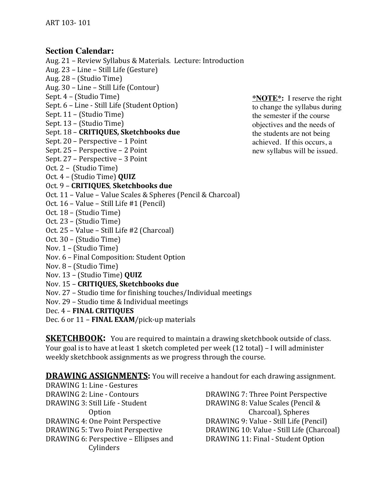## **Section Calendar:**

Aug. 21 – Review Syllabus & Materials. Lecture: Introduction

- Aug. 23 Line Still Life (Gesture)
- Aug. 28 (Studio Time)
- Aug. 30 Line Still Life (Contour)
- Sept. 4 (Studio Time)
- Sept. 6 Line Still Life (Student Option)
- Sept. 11 (Studio Time)
- Sept. 13 (Studio Time)
- Sept.\$18\$– **CRITIQUES, Sketchbooks!due**
- Sept. 20 Perspective 1 Point
- Sept. 25 Perspective 2 Point
- Sept. 27 Perspective 3 Point
- Oct. 2 (Studio Time)
- Oct.\$4 (Studio\$Time)\$**QUIZ**

### Oct. 9 - **CRITIQUES**, **Sketchbooks due**

- Oct. 11 Value Value Scales & Spheres (Pencil & Charcoal)
- Oct. 16 Value Still Life #1 (Pencil)
- Oct. 18 (Studio Time)
- Oct. 23 (Studio Time)
- Oct. 25 Value Still Life #2 (Charcoal)
- Oct. 30 (Studio Time)
- Nov. 1 (Studio Time)
- Nov. 6 Final Composition: Student Option
- Nov. 8 (Studio Time)
- Nov.\$13\$– (Studio\$Time) **QUIZ**
- Nov. 15 **CRITIQUES, Sketchbooks due**
- Nov. 27 Studio time for finishing touches/Individual meetings
- Nov. 29 Studio time & Individual meetings
- Dec. 4 **FINAL CRITIQUES**
- Dec. 6 or 11 **FINAL EXAM**/pick-up materials

**SKETCHBOOK:** You are required to maintain a drawing sketchbook outside of class. Your goal is to have at least 1 sketch completed per week (12 total) – I will administer weekly sketchbook assignments as we progress through the course.

**DRAWING ASSIGNMENTS:** You will receive a handout for each drawing assignment.

DRAWING 1: Line - Gestures DRAWING 2: Line - Contours DRAWING 3: Still Life - Student 0ption DRAWING 4: One Point Perspective DRAWING 5: Two Point Perspective DRAWING 6: Perspective – Ellipses and Cylinders

DRAWING 7: Three Point Perspective DRAWING 8: Value Scales (Pencil & Charcoal), Spheres DRAWING 9: Value - Still Life (Pencil) DRAWING 10: Value - Still Life (Charcoal) DRAWING 11: Final - Student Option

**\*NOTE\*:** I reserve the right to change the syllabus during the semester if the course objectives and the needs of the students are not being achieved. If this occurs, a new syllabus will be issued.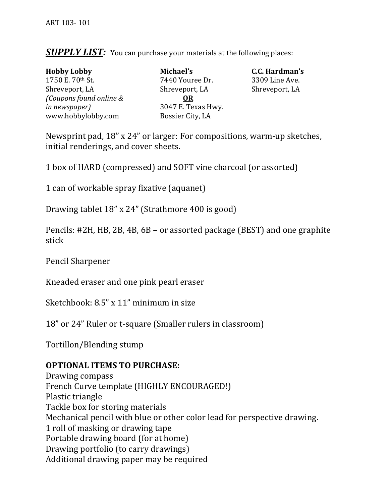**SUPPLY LIST:** You can purchase your materials at the following places:

| <b>Hobby Lobby</b>      | Michael's  |
|-------------------------|------------|
| 1750 E. 70th St.        | 7440 Your  |
| Shreveport, LA          | Shrevepor  |
| (Coupons found online & | <b>OR</b>  |
| in newspaper)           | 3047 E. T6 |
| www.hobbylobby.com      | Bossier Ci |

0 Youree Dr. 3309 Line Ave. Shreveport,\$LA Shreveport,\$LA Shreveport,\$LA **7 E. Texas Hwy.** sier City, LA

**Hobby C.C.** Hardman's

Newsprint pad,  $18"$  x  $24"$  or larger: For compositions, warm-up sketches, initial renderings, and cover sheets.

1 box of HARD (compressed) and SOFT vine charcoal (or assorted)

1 can of workable spray fixative (aquanet)

Drawing tablet  $18"$  x  $24"$  (Strathmore 400 is good)

Pencils: #2H, HB, 2B, 4B,  $6B$  – or assorted package (BEST) and one graphite stick

Pencil Sharpener

Kneaded eraser and one pink pearl eraser

Sketchbook:  $8.5$ "  $x$  11" minimum in size

18" or 24" Ruler or t-square (Smaller rulers in classroom)

Tortillon/Blending stump

# **OPTIONAL ITEMS TO PURCHASE:**

Drawing compass French Curve template (HIGHLY ENCOURAGED!) Plastic triangle Tackle box for storing materials Mechanical pencil with blue or other color lead for perspective drawing. 1 roll of masking or drawing tape Portable drawing board (for at home) Drawing portfolio (to carry drawings) Additional drawing paper may be required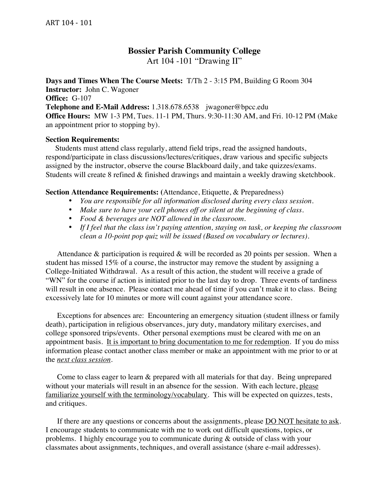## **Bossier Parish Community College** Art 104 -101 "Drawing II"

**Days and Times When The Course Meets:** T/Th 2 - 3:15 PM, Building G Room 304 **Instructor:** John C. Wagoner **Office:** G-107 **Telephone and E-Mail Address:** 1.318.678.6538 jwagoner@bpcc.edu **Office Hours:** MW 1-3 PM, Tues. 11-1 PM, Thurs. 9:30-11:30 AM, and Fri. 10-12 PM (Make an appointment prior to stopping by).

#### **Section Requirements:**

 Students must attend class regularly, attend field trips, read the assigned handouts, respond/participate in class discussions/lectures/critiques, draw various and specific subjects assigned by the instructor, observe the course Blackboard daily, and take quizzes/exams. Students will create 8 refined & finished drawings and maintain a weekly drawing sketchbook.

#### **Section Attendance Requirements: (**Attendance, Etiquette, & Preparedness)

- *You are responsible for all information disclosed during every class session.*
- *Make sure to have your cell phones off or silent at the beginning of class.*
- *Food & beverages are NOT allowed in the classroom.*
- *If I feel that the class isn't paying attention, staying on task, or keeping the classroom clean a 10-point pop quiz will be issued (Based on vocabulary or lectures).*

Attendance  $\&$  participation is required  $\&$  will be recorded as 20 points per session. When a student has missed 15% of a course, the instructor may remove the student by assigning a College-Initiated Withdrawal. As a result of this action, the student will receive a grade of "WN" for the course if action is initiated prior to the last day to drop. Three events of tardiness will result in one absence. Please contact me ahead of time if you can't make it to class. Being excessively late for 10 minutes or more will count against your attendance score.

Exceptions for absences are: Encountering an emergency situation (student illness or family death), participation in religious observances, jury duty, mandatory military exercises, and college sponsored trips/events. Other personal exemptions must be cleared with me on an appointment basis. It is important to bring documentation to me for redemption. If you do miss information please contact another class member or make an appointment with me prior to or at the *next class session*.

 Come to class eager to learn & prepared with all materials for that day. Being unprepared without your materials will result in an absence for the session. With each lecture, please familiarize yourself with the terminology/vocabulary. This will be expected on quizzes, tests, and critiques.

If there are any questions or concerns about the assignments, please DO NOT hesitate to ask. I encourage students to communicate with me to work out difficult questions, topics, or problems. I highly encourage you to communicate during & outside of class with your classmates about assignments, techniques, and overall assistance (share e-mail addresses).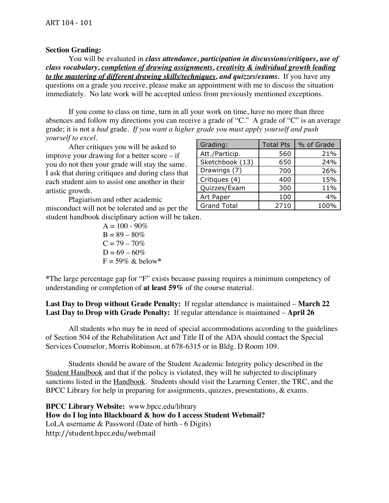#### **Section Grading:**

You will be evaluated in *class attendance, participation in discussions/critiques, use of class vocabulary, completion of drawing assignments, creativity & individual growth leading to the mastering of different drawing skills/techniques, and quizzes/exams.* If you have any questions on a grade you receive, please make an appointment with me to discuss the situation immediately. No late work will be accepted unless from previously mentioned exceptions.

If you come to class on time, turn in all your work on time, have no more than three absences and follow my directions you can receive a grade of "C." A grade of "C" is an average grade; it is not a *bad* grade. *If you want a higher grade you must apply yourself and push yourself to excel.*

After critiques you will be asked to improve your drawing for a better score – if you do not then your grade will stay the same. I ask that during critiques and during class that each student aim to assist one another in their artistic growth.

Plagiarism and other academic misconduct will not be tolerated and as per the student handbook disciplinary action will be taken.

> $A = 100 - 90\%$  $B = 89 - 80\%$  $C = 79 - 70\%$  $D = 69 - 60\%$  $F = 59\%$  & below\*

| Grading:           | <b>Total Pts</b> | % of Grade |
|--------------------|------------------|------------|
| Att./Particip.     | 560              | 21%        |
| Sketchbook (13)    | 650              | 24%        |
| Drawings (7)       | 700              | 26%        |
| Critiques (4)      | 400              | 15%        |
| Quizzes/Exam       | 300              | 11%        |
| Art Paper          | 100              | 4%         |
| <b>Grand Total</b> | 2710             | 100%       |

**\***The large percentage gap for "F" exists because passing requires a minimum competency of understanding or completion of **at least 59%** of the course material.

**Last Day to Drop without Grade Penalty:** If regular attendance is maintained – **March 22 Last Day to Drop with Grade Penalty:** If regular attendance is maintained – **April 26**

All students who may be in need of special accommodations according to the guidelines of Section 504 of the Rehabilitation Act and Title II of the ADA should contact the Special Services Counselor, Morris Robinson, at 678-6315 or in Bldg. D Room 109.

Students should be aware of the Student Academic Integrity policy described in the Student Handbook and that if the policy is violated, they will be subjected to disciplinary sanctions listed in the Handbook. Students should visit the Learning Center, the TRC, and the BPCC Library for help in preparing for assignments, quizzes, presentations, & exams.

**BPCC Library Website:** www.bpcc.edu/library **How do I log into Blackboard & how do I access Student Webmail?** LoLA username & Password (Date of birth - 6 Digits) http://student.bpcc.edu/webmail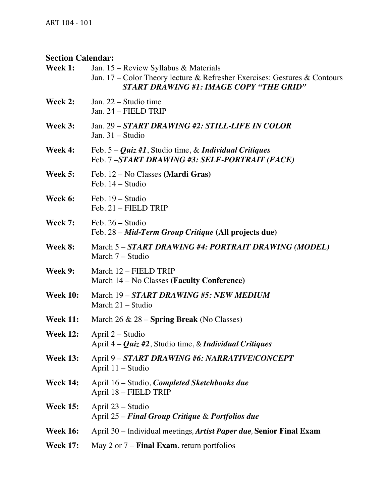# **Section Calendar:**

| Week 1:         | Jan. $15$ – Review Syllabus & Materials<br>Jan. 17 – Color Theory lecture & Refresher Exercises: Gestures & Contours<br><b>START DRAWING #1: IMAGE COPY "THE GRID"</b> |
|-----------------|------------------------------------------------------------------------------------------------------------------------------------------------------------------------|
| Week 2:         | Jan. 22 – Studio time<br>Jan. 24 - FIELD TRIP                                                                                                                          |
| Week 3:         | Jan. 29 – START DRAWING #2: STILL-LIFE IN COLOR<br>Jan. $31 -$ Studio                                                                                                  |
| Week 4:         | Feb. $5 - Quiz$ #1, Studio time, & Individual Critiques<br>Feb. 7-START DRAWING #3: SELF-PORTRAIT (FACE)                                                               |
| Week 5:         | Feb. 12 – No Classes (Mardi Gras)<br>Feb. 14 – Studio                                                                                                                  |
| Week 6:         | Feb. 19 - Studio<br>Feb. 21 - FIELD TRIP                                                                                                                               |
| Week 7:         | Feb. 26 – Studio<br>Feb. 28 - Mid-Term Group Critique (All projects due)                                                                                               |
| Week 8:         | March 5 - START DRAWING #4: PORTRAIT DRAWING (MODEL)<br>March 7 – Studio                                                                                               |
| Week 9:         | March 12 - FIELD TRIP<br>March 14 – No Classes (Faculty Conference)                                                                                                    |
| <b>Week 10:</b> | March 19 – START DRAWING #5: NEW MEDIUM<br>March 21 – Studio                                                                                                           |
| <b>Week 11:</b> | March $26 \& 28$ – Spring Break (No Classes)                                                                                                                           |
| <b>Week 12:</b> | April 2 – Studio<br>April $4 - Quiz$ #2, Studio time, & Individual Critiques                                                                                           |
| <b>Week 13:</b> | April 9 - START DRAWING #6: NARRATIVE/CONCEPT<br>April 11 - Studio                                                                                                     |
| <b>Week 14:</b> | April 16 – Studio, <i>Completed Sketchbooks due</i><br>April 18 - FIELD TRIP                                                                                           |
| <b>Week 15:</b> | April 23 – Studio<br>April 25 – Final Group Critique & Portfolios due                                                                                                  |
| <b>Week 16:</b> | April 30 – Individual meetings, Artist Paper due, Senior Final Exam                                                                                                    |
| <b>Week 17:</b> | May 2 or $7$ – <b>Final Exam</b> , return portfolios                                                                                                                   |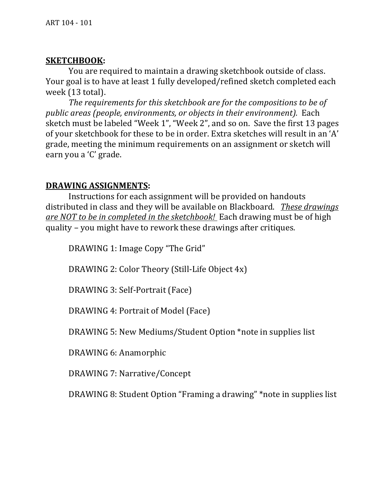## **SKETCHBOOK:**

You are required to maintain a drawing sketchbook outside of class. Your goal is to have at least 1 fully developed/refined sketch completed each week (13 total).

The requirements for this sketchbook are for the compositions to be of *public areas (people, environments, or objects in their environment).* Each sketch must be labeled "Week 1", "Week 2", and so on. Save the first 13 pages of your sketchbook for these to be in order. Extra sketches will result in an 'A' grade, meeting the minimum requirements on an assignment or sketch will earn you a 'C' grade.

# **DRAWING ASSIGNMENTS:**

Instructions for each assignment will be provided on handouts distributed in class and they will be available on Blackboard. *These drawings are NOT to be in completed in the sketchbook!* Each drawing must be of high quality – you might have to rework these drawings after critiques.

DRAWING 1: Image Copy "The Grid"

DRAWING 2: Color Theory (Still-Life Object  $4x$ )

DRAWING 3: Self-Portrait (Face)

DRAWING 4: Portrait of Model (Face)

DRAWING 5: New Mediums/Student Option \*note in supplies list

DRAWING 6: Anamorphic

DRAWING 7: Narrative/Concept

DRAWING 8: Student Option "Framing a drawing" \*note in supplies list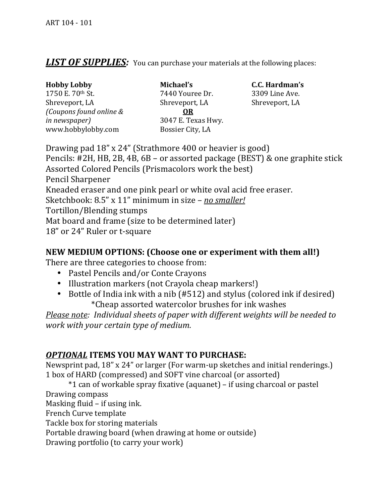# **LIST OF SUPPLIES:** You can purchase your materials at the following places:

| <b>Hobby Lobby</b>      | Michael's         |
|-------------------------|-------------------|
| 1750 E. 70th St.        | 7440 Your         |
| Shreveport, LA          | Shrevepor         |
| (Coupons found online & | <b>OR</b>         |
| <i>in newspaper</i> )   | 3047 E. T6        |
| www.hobbylobby.com      | <b>Bossier Ci</b> |

**Michael's C.C.** Hardman's 7440 Youree Dr. 3309 Line Ave. Shreveport, LA Shreveport, LA 3047 E. Texas Hwy. Bossier City, LA

Drawing pad  $18"$  x  $24"$  (Strathmore 400 or heavier is good) Pencils: #2H, HB, 2B, 4B,  $6B$  – or assorted package (BEST)  $\&$  one graphite stick Assorted Colored Pencils (Prismacolors work the best) Pencil Sharpener Kneaded eraser and one pink pearl or white oval acid free eraser. Sketchbook: 8.5" x 11" minimum in size – *no smaller!* Tortillon/Blending stumps Mat board and frame (size to be determined later) 18" or 24" Ruler or t-square

## **NEW MEDIUM OPTIONS: (Choose one or experiment with them all!)**

There are three categories to choose from:

- Pastel Pencils and/or Conte Crayons
- Illustration markers (not Crayola cheap markers!)
- Bottle of India ink with a nib (#512) and stylus (colored ink if desired) \*Cheap assorted watercolor brushes for ink washes

*Please note: Individual sheets of paper with different weights will be needed to work\$with\$your\$certain\$type\$of\$medium.*

# *OPTIONAL* ITEMS YOU MAY WANT TO PURCHASE:

Newsprint pad,  $18"$  x  $24"$  or larger (For warm-up sketches and initial renderings.) 1 box of HARD (compressed) and SOFT vine charcoal (or assorted)

 $*1$  can of workable spray fixative (aquanet) – if using charcoal or pastel

Drawing compass

Masking fluid – if using ink.

French Curve template

Tackle box for storing materials

Portable drawing board (when drawing at home or outside)

Drawing portfolio (to carry your work)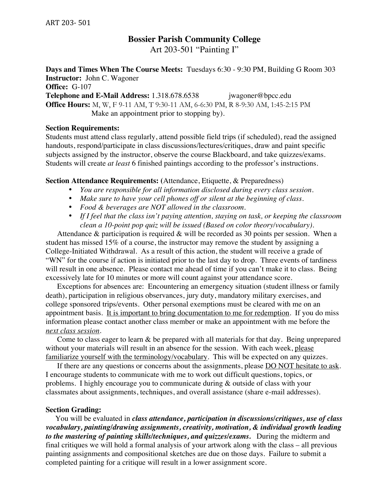# **Bossier Parish Community College**

Art 203-501 "Painting I"

**Days and Times When The Course Meets:** Tuesdays 6:30 - 9:30 PM, Building G Room 303 **Instructor:** John C. Wagoner

**Office:** G-107

**Telephone and E-Mail Address:** 1.318.678.6538 jwagoner@bpcc.edu **Office Hours:** M, W, F 9-11 AM, T 9:30-11 AM, 6-6:30 PM, R 8-9:30 AM, 1:45-2:15 PM Make an appointment prior to stopping by).

#### **Section Requirements:**

Students must attend class regularly, attend possible field trips (if scheduled), read the assigned handouts, respond/participate in class discussions/lectures/critiques, draw and paint specific subjects assigned by the instructor, observe the course Blackboard, and take quizzes/exams. Students will create *at least* 6 finished paintings according to the professor's instructions.

#### **Section Attendance Requirements: (**Attendance, Etiquette, & Preparedness)

- *You are responsible for all information disclosed during every class session.*
- *Make sure to have your cell phones off or silent at the beginning of class.*
- *Food & beverages are NOT allowed in the classroom.*
- *If I feel that the class isn't paying attention, staying on task, or keeping the classroom clean a 10-point pop quiz will be issued (Based on color theory/vocabulary).*

Attendance  $\&$  participation is required  $\&$  will be recorded as 30 points per session. When a student has missed 15% of a course, the instructor may remove the student by assigning a College-Initiated Withdrawal. As a result of this action, the student will receive a grade of "WN" for the course if action is initiated prior to the last day to drop. Three events of tardiness will result in one absence. Please contact me ahead of time if you can't make it to class. Being excessively late for 10 minutes or more will count against your attendance score.

Exceptions for absences are: Encountering an emergency situation (student illness or family death), participation in religious observances, jury duty, mandatory military exercises, and college sponsored trips/events. Other personal exemptions must be cleared with me on an appointment basis. It is important to bring documentation to me for redemption. If you do miss information please contact another class member or make an appointment with me before the *next class session*.

 Come to class eager to learn & be prepared with all materials for that day. Being unprepared without your materials will result in an absence for the session. With each week, please familiarize yourself with the terminology/vocabulary. This will be expected on any quizzes.

If there are any questions or concerns about the assignments, please  $\underline{DO NOT}$  hesitate to ask. I encourage students to communicate with me to work out difficult questions, topics, or problems. I highly encourage you to communicate during & outside of class with your classmates about assignments, techniques, and overall assistance (share e-mail addresses).

#### **Section Grading:**

 You will be evaluated in *class attendance, participation in discussions/critiques, use of class vocabulary, painting/drawing assignments, creativity, motivation, & individual growth leading to the mastering of painting skills/techniques, and quizzes/exams.* During the midterm and final critiques we will hold a formal analysis of your artwork along with the class – all previous painting assignments and compositional sketches are due on those days. Failure to submit a completed painting for a critique will result in a lower assignment score.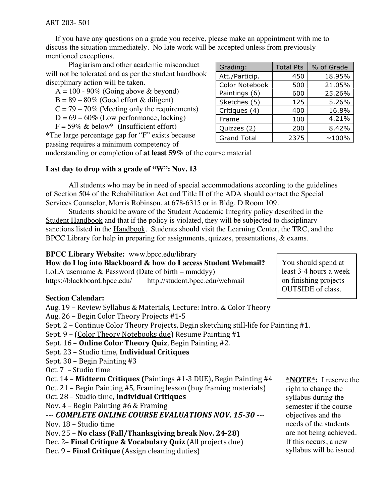ART 203-501

 If you have any questions on a grade you receive, please make an appointment with me to discuss the situation immediately. No late work will be accepted unless from previously mentioned exceptions.

Plagiarism and other academic misconduct will not be tolerated and as per the student handbook disciplinary action will be taken.

- $A = 100 90\%$  (Going above & beyond)
- $B = 89 80\%$  (Good effort & diligent)
- $C = 79 70\%$  (Meeting only the requirements)
- $D = 69 60\%$  (Low performance, lacking)

F = 59% & below**\* (**Insufficient effort)

**\***The large percentage gap for "F" exists because passing requires a minimum competency of

| Grading:           | <b>Total Pts</b> | % of Grade |
|--------------------|------------------|------------|
| Att./Particip.     | 450              | 18.95%     |
| Color Notebook     | 500              | 21.05%     |
| Paintings (6)      | 600              | 25.26%     |
| Sketches (5)       | 125              | 5.26%      |
| Critiques (4)      | 400              | 16.8%      |
| Frame              | 100              | 4.21%      |
| Quizzes (2)        | 200              | 8.42%      |
| <b>Grand Total</b> | 2375             | $~100\%$   |

understanding or completion of **at least 59%** of the course material

## **Last day to drop with a grade of "W": Nov. 13**

All students who may be in need of special accommodations according to the guidelines of Section 504 of the Rehabilitation Act and Title II of the ADA should contact the Special Services Counselor, Morris Robinson, at 678-6315 or in Bldg. D Room 109.

Students should be aware of the Student Academic Integrity policy described in the Student Handbook and that if the policy is violated, they will be subjected to disciplinary sanctions listed in the Handbook. Students should visit the Learning Center, the TRC, and the BPCC Library for help in preparing for assignments, quizzes, presentations, & exams.

## **BPCC Library Website:** www.bpcc.edu/library

**How do I log into Blackboard & how do I access Student Webmail?**

LoLA username & Password (Date of birth – mmddyy) https://blackboard.bpcc.edu/ http://student.bpcc.edu/webmail

## **Section Calendar:**

Aug. 19 – Review Syllabus & Materials, Lecture: Intro. & Color Theory

- Aug.  $26$  Begin Color Theory Projects #1-5
- Sept.  $2$  Continue Color Theory Projects, Begin sketching still-life for Painting #1.
- Sept. 9 (Color Theory Notebooks due) Resume Painting  $#1$
- Sept. 16 **Online Color Theory Quiz**, Begin Painting #2.
- Sept. 23 Studio time, **Individual Critiques**
- Sept.  $30$  Begin Painting #3
- Oct. 7 Studio time
- Oct. 14 **Midterm Critiques (Paintings #1-3 DUE), Begin Painting #4**
- Oct.  $21$  Begin Painting #5, Framing lesson (buy framing materials)
- Oct.\$28\$–\$Studio\$time,\$**Individual Critiques**
- Nov.  $4$  Begin Painting #6 & Framing

# **... COMPLETE ONLINE COURSE EVALUATIONS NOV. 15-30 ...**

- Nov. 18 Studio time
- Nov. 25 **No class (Fall/Thanksgiving break Nov. 24-28)**
- Dec. 2– **Final Critique & Vocabulary Quiz** (All projects due)
- Dec. 9 **Final Critique** (Assign cleaning duties)

**\*NOTE\*:** I reserve the right to change the syllabus during the semester if the course objectives and the needs of the students are not being achieved. If this occurs, a new syllabus will be issued.

You should spend at least 3-4 hours a week on finishing projects OUTSIDE of class.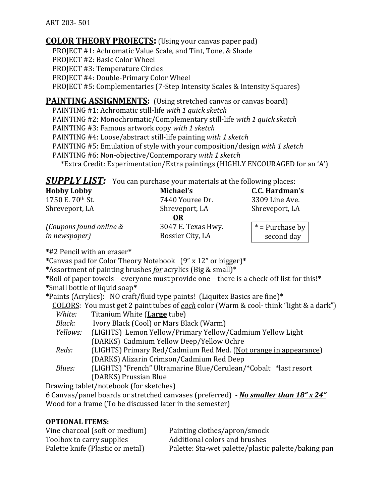ART 203-501

## **COLOR THEORY PROJECTS:** (Using your canvas paper pad)

PROJECT #1: Achromatic Value Scale, and Tint, Tone, & Shade PROJECT #2: Basic Color Wheel **PROJECT #3: Temperature Circles** PROJECT #4: Double-Primary Color Wheel **PROJECT #5: Complementaries (7-Step Intensity Scales & Intensity Squares)** 

## **PAINTING ASSIGNMENTS:** (Using stretched canvas or canvas board)

 $PAINTING #1:$  Achromatic still-life *with 1 quick sketch*  $PAINTING #2: Monochromatic/Complementary still-life with 1 quick sketch$ **PAINTING #3: Famous artwork copy with 1 sketch**  $PAINTING #4: Loose/abstract still-life painting with 1 sketch$  $PAINTING #5:$  Emulation of style with your composition/design with 1 sketch  $PAINTING #6: Non-objective/Contemporary with 1 sketch$ \*Extra Credit: Experimentation/Extra paintings (HIGHLY ENCOURAGED for an 'A')

**SUPPLY LIST:** You can purchase your materials at the following places:

| <b>Hobby Lobby</b>      | Michael's          | C.C. Hardman's    |
|-------------------------|--------------------|-------------------|
| 1750 E. 70th St.        | 7440 Youree Dr.    | 3309 Line Ave.    |
| Shreveport, LA          | Shreveport, LA     | Shreveport, LA    |
|                         | <b>OR</b>          |                   |
| (Coupons found online & | 3047 E. Texas Hwy. | $*$ = Purchase by |
| <i>in newspaper</i> )   | Bossier City, LA   | second day        |

**\***#2\$Pencil\$with\$an\$eraser**\***

**\***Canvas\$pad\$for\$Color\$Theory\$Notebook\$\$\$(9"\$x\$12"\$or\$bigger)**\***

\*Assortment of painting brushes *for* acrylics (Big & small)\*

\*Roll of paper towels – everyone must provide one – there is a check-off list for this!\* **\***Small\$bottle\$of\$liquid\$soap**\***

**\***Paints\$(Acrylics):\$\$ NO\$craft/fluid\$type\$paints!\$\$(Liquitex\$Basics\$are\$fine)**\***

**COLORS:** You must get 2 paint tubes of each color (Warm & cool-think "light & a dark") *White:* Titanium White (Large tube)

- *Black:* Ivory Black (Cool) or Mars Black (Warm)
- *Yellows:* (LIGHTS) Lemon Yellow/Primary Yellow/Cadmium Yellow Light (DARKS) Cadmium Yellow Deep/Yellow Ochre
- *Reds:* (LIGHTS) Primary Red/Cadmium Red Med. (Not orange in appearance) (DARKS) Alizarin Crimson/Cadmium Red Deep
- *Blues:* (LIGHTS) "French" Ultramarine Blue/Cerulean/\*Cobalt \*last resort (DARKS) Prussian Blue

Drawing tablet/notebook (for sketches)

6 Canvas/panel boards or stretched canvases (preferred) - *No smaller than 18" x 24"* Wood for a frame (To be discussed later in the semester)

### **OPTIONAL ITEMS:**

| Vine charcoal (soft or medium)   | Painting clothes/apron/smock                        |
|----------------------------------|-----------------------------------------------------|
| Toolbox to carry supplies        | Additional colors and brushes                       |
| Palette knife (Plastic or metal) | Palette: Sta-wet palette/plastic palette/baking pan |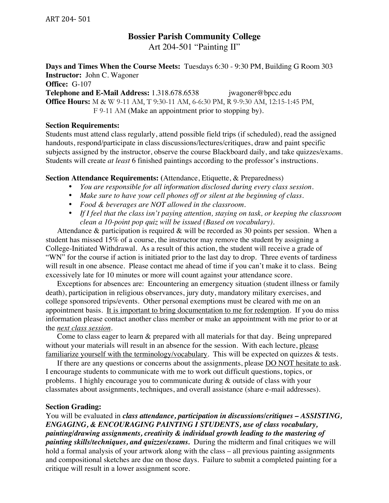## **Bossier Parish Community College** Art 204-501 "Painting II"

**Days and Times When the Course Meets:** Tuesdays 6:30 - 9:30 PM, Building G Room 303 **Instructor:** John C. Wagoner **Office:** G-107 **Telephone and E-Mail Address:** 1.318.678.6538 jwagoner@bpcc.edu **Office Hours:** M & W 9-11 AM, T 9:30-11 AM, 6-6:30 PM, R 9-9:30 AM, 12:15-1:45 PM, F 9-11 AM (Make an appointment prior to stopping by).

#### **Section Requirements:**

Students must attend class regularly, attend possible field trips (if scheduled), read the assigned handouts, respond/participate in class discussions/lectures/critiques, draw and paint specific subjects assigned by the instructor, observe the course Blackboard daily, and take quizzes/exams. Students will create *at least* 6 finished paintings according to the professor's instructions.

#### **Section Attendance Requirements: (**Attendance, Etiquette, & Preparedness)

- *You are responsible for all information disclosed during every class session.*
- *Make sure to have your cell phones off or silent at the beginning of class.*
- *Food & beverages are NOT allowed in the classroom.*
- *If I feel that the class isn't paying attention, staying on task, or keeping the classroom clean a 10-point pop quiz will be issued (Based on vocabulary).*

Attendance  $\&$  participation is required  $\&$  will be recorded as 30 points per session. When a student has missed 15% of a course, the instructor may remove the student by assigning a College-Initiated Withdrawal. As a result of this action, the student will receive a grade of "WN" for the course if action is initiated prior to the last day to drop. Three events of tardiness will result in one absence. Please contact me ahead of time if you can't make it to class. Being excessively late for 10 minutes or more will count against your attendance score.

Exceptions for absences are: Encountering an emergency situation (student illness or family death), participation in religious observances, jury duty, mandatory military exercises, and college sponsored trips/events. Other personal exemptions must be cleared with me on an appointment basis. It is important to bring documentation to me for redemption. If you do miss information please contact another class member or make an appointment with me prior to or at the *next class session*.

 Come to class eager to learn & prepared with all materials for that day. Being unprepared without your materials will result in an absence for the session. With each lecture, please familiarize yourself with the terminology/vocabulary. This will be expected on quizzes & tests.

If there are any questions or concerns about the assignments, please DO NOT hesitate to ask. I encourage students to communicate with me to work out difficult questions, topics, or problems. I highly encourage you to communicate during & outside of class with your classmates about assignments, techniques, and overall assistance (share e-mail addresses).

#### **Section Grading:**

You will be evaluated in *class attendance, participation in discussions/critiques – ASSISTING, ENGAGING, & ENCOURAGING PAINTING I STUDENTS, use of class vocabulary, painting/drawing assignments, creativity & individual growth leading to the mastering of painting skills/techniques, and quizzes/exams.* During the midterm and final critiques we will hold a formal analysis of your artwork along with the class – all previous painting assignments and compositional sketches are due on those days. Failure to submit a completed painting for a critique will result in a lower assignment score.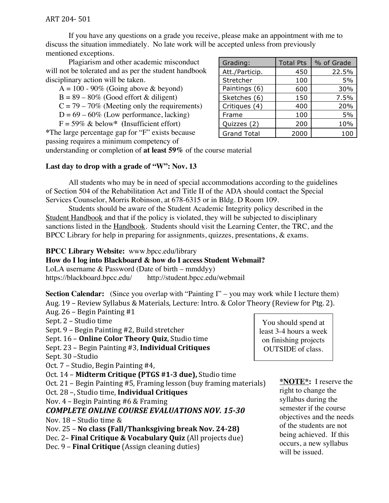If you have any questions on a grade you receive, please make an appointment with me to discuss the situation immediately. No late work will be accepted unless from previously mentioned exceptions.

Plagiarism and other academic misconduct will not be tolerated and as per the student handbook disciplinary action will be taken.

 $A = 100 - 90\%$  (Going above & beyond)  $B = 89 - 80\%$  (Good effort & diligent)

 $C = 79 - 70\%$  (Meeting only the requirements)

 $D = 69 - 60\%$  (Low performance, lacking)

F = 59% & below**\* (**Insufficient effort)

**\***The large percentage gap for "F" exists because passing requires a minimum competency of

| Grading:           | <b>Total Pts</b> | % of Grade |
|--------------------|------------------|------------|
| Att./Particip.     | 450              | 22.5%      |
| Stretcher          | 100              | 5%         |
| Paintings (6)      | 600              | 30%        |
| Sketches (6)       | 150              | 7.5%       |
| Critiques (4)      | 400              | 20%        |
| Frame              | 100              | 5%         |
| Quizzes (2)        | 200              | 10%        |
| <b>Grand Total</b> | 2000             | 100        |

understanding or completion of **at least 59%** of the course material

## **Last day to drop with a grade of "W": Nov. 13**

All students who may be in need of special accommodations according to the guidelines of Section 504 of the Rehabilitation Act and Title II of the ADA should contact the Special Services Counselor, Morris Robinson, at 678-6315 or in Bldg. D Room 109.

Students should be aware of the Student Academic Integrity policy described in the Student Handbook and that if the policy is violated, they will be subjected to disciplinary sanctions listed in the Handbook. Students should visit the Learning Center, the TRC, and the BPCC Library for help in preparing for assignments, quizzes, presentations, & exams.

### **BPCC Library Website:** www.bpcc.edu/library

# **How do I log into Blackboard & how do I access Student Webmail?**

LoLA username & Password (Date of birth – mmddyy) https://blackboard.bpcc.edu/ http://student.bpcc.edu/webmail

**Section Calendar:** (Since you overlap with "Painting I" – you may work while I lecture them) Aug. 19 – Review Syllabus & Materials, Lecture: Intro. & Color Theory (Review for Ptg. 2).

Aug.  $26$  – Begin Painting #1 Sept. 2 – Studio time Sept. 9 – Begin Painting #2, Build stretcher Sept. 16 – **Online Color Theory Quiz**, Studio time Sept. 23 – Begin Painting #3, **Individual Critiques** 

Sept. 30 –Studio

Oct. 7 – Studio, Begin Painting #4,

Oct. 14 – **Midterm Critique (PTGS #1-3 due),** Studio time

Oct.  $21$  – Begin Painting #5, Framing lesson (buy framing materials)

Oct.\$28\$–,\$Studio\$time,\$**Individual Critiques**

Nov.  $4$  – Begin Painting #6 & Framing

## **COMPLETE ONLINE COURSE EVALUATIONS NOV. 15-30**

Nov.  $18$  – Studio time &

Nov. 25 – **No class (Fall/Thanksgiving break Nov. 24-28)** 

Dec. 2– **Final Critique & Vocabulary Quiz** (All projects due)

Dec. 9 – **Final Critique** (Assign cleaning duties)

least 3-4 hours a week on finishing projects OUTSIDE of class.

You should spend at

**\*NOTE\*:** I reserve the right to change the syllabus during the semester if the course objectives and the needs of the students are not being achieved. If this occurs, a new syllabus will be issued.